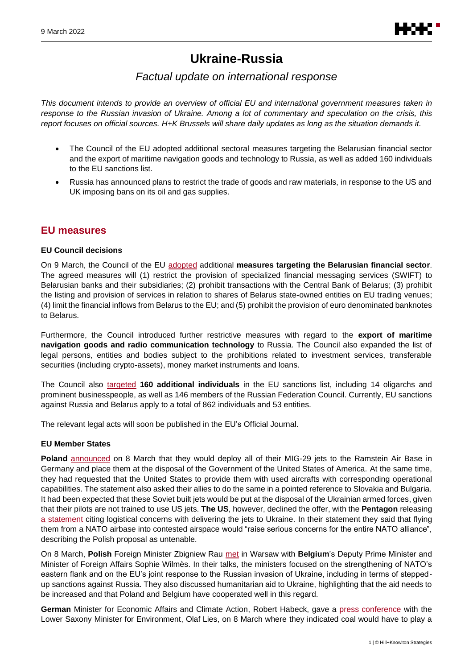# **Ukraine-Russia**

# *Factual update on international response*

*This document intends to provide an overview of official EU and international government measures taken in response to the Russian invasion of Ukraine. Among a lot of commentary and speculation on the crisis, this report focuses on official sources. H+K Brussels will share daily updates as long as the situation demands it.*

- The Council of the EU adopted additional sectoral measures targeting the Belarusian financial sector and the export of maritime navigation goods and technology to Russia, as well as added 160 individuals to the EU sanctions list.
- Russia has announced plans to restrict the trade of goods and raw materials, in response to the US and UK imposing bans on its oil and gas supplies.

# **EU measures**

### **EU Council decisions**

On 9 March, the Council of the EU [adopted](https://www.consilium.europa.eu/en/press/press-releases/2022/03/09/russia-s-military-aggression-against-ukraine-eu-agrees-new-sectoral-measures-targeting-belarus-and-russia/) additional **measures targeting the Belarusian financial sector**. The agreed measures will (1) restrict the provision of specialized financial messaging services (SWIFT) to Belarusian banks and their subsidiaries; (2) prohibit transactions with the Central Bank of Belarus; (3) prohibit the listing and provision of services in relation to shares of Belarus state-owned entities on EU trading venues; (4) limit the financial inflows from Belarus to the EU; and (5) prohibit the provision of euro denominated banknotes to Belarus.

Furthermore, the Council introduced further restrictive measures with regard to the **export of maritime navigation goods and radio communication technology** to Russia. The Council also expanded the list of legal persons, entities and bodies subject to the prohibitions related to investment services, transferable securities (including crypto-assets), money market instruments and loans.

The Council also [targeted](https://www.consilium.europa.eu/en/press/press-releases/2022/03/09/eu-imposes-restrictive-measures-on-160-individuals-as-a-consequence-of-russia-s-military-aggression-against-ukraine/?utm_source=dsms-auto&utm_medium=email&utm_campaign=EU+imposes+restrictive+measures+on+160+individuals+as+a+consequence+of+Russia%u2019s+military+aggression+against+Ukraine) **160 additional individuals** in the EU sanctions list, including 14 oligarchs and prominent businesspeople, as well as 146 members of the Russian Federation Council. Currently, EU sanctions against Russia and Belarus apply to a total of 862 individuals and 53 entities.

The relevant legal acts will soon be published in the EU's Official Journal.

### **EU Member States**

**Poland** [announced](https://www.gov.pl/web/diplomacy/statement-of-the-minister-of-foreign-affairs-of-the-republic-of-poland-in-connection-with-the-statement-by-the-us-secretary-of-state-on-providing-airplanes-to-ukraine) on 8 March that they would deploy all of their MIG-29 jets to the Ramstein Air Base in Germany and place them at the disposal of the Government of the United States of America. At the same time, they had requested that the United States to provide them with used aircrafts with corresponding operational capabilities. The statement also asked their allies to do the same in a pointed reference to Slovakia and Bulgaria. It had been expected that these Soviet built jets would be put at the disposal of the Ukrainian armed forces, given that their pilots are not trained to use US jets. **The US**, however, declined the offer, with the **Pentagon** releasing [a statement](https://www.defense.gov/News/Releases/Release/Article/2960180/statement-by-pentagon-press-secretary-john-f-kirby-on-security-assistance-to-uk/) citing logistical concerns with delivering the jets to Ukraine. In their statement they said that flying them from a NATO airbase into contested airspace would "raise serious concerns for the entire NATO alliance", describing the Polish proposal as untenable.

On 8 March, **Polish** Foreign Minister Zbigniew Rau [met](https://www.gov.pl/web/diplomacy/minister-zbigniew-rau-meets-with-belgiums-foreign-minister-sophie-wilms) in Warsaw with **Belgium**'s Deputy Prime Minister and Minister of Foreign Affairs Sophie Wilmès. In their talks, the ministers focused on the strengthening of NATO's eastern flank and on the EU's joint response to the Russian invasion of Ukraine, including in terms of steppedup sanctions against Russia. They also discussed humanitarian aid to Ukraine, highlighting that the aid needs to be increased and that Poland and Belgium have cooperated well in this regard.

**German** Minister for Economic Affairs and Climate Action, Robert Habeck, gave a [press conference](https://www.youtube.com/watch?v=IEewbb_stfg) with the Lower Saxony Minister for Environment, Olaf Lies, on 8 March where they indicated coal would have to play a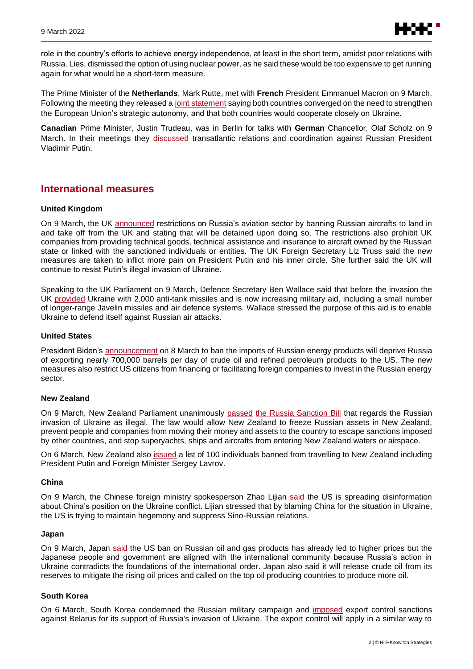

role in the country's efforts to achieve energy independence, at least in the short term, amidst poor relations with Russia. Lies, dismissed the option of using nuclear power, as he said these would be too expensive to get running again for what would be a short-term measure.

The Prime Minister of the **Netherlands**, Mark Rutte, met with **French** President Emmanuel Macron on 9 March. Following the meeting they released a [joint statement](https://www.government.nl/documents/diplomatic-statements/2022/03/09/joint-communique-in-the-context-of-the-franco-dutch-consultations) saying both countries converged on the need to strengthen the European Union's strategic autonomy, and that both countries would cooperate closely on Ukraine.

**Canadian** Prime Minister, Justin Trudeau, was in Berlin for talks with **German** Chancellor, Olaf Scholz on 9 March. In their meetings they [discussed](https://cpac.ca/episode?id=c2c1588f-27d9-4e7e-8c94-473f27b8c00c) transatlantic relations and coordination against Russian President Vladimir Putin.

# **International measures**

#### **United Kingdom**

On 9 March, the UK [announced](https://www.gov.uk/government/news/uk-strengthens-ban-on-russia-aircraft-and-introduces-new-trade-sanctions#:~:text=Foreign%20Secretary%20Liz%20Truss%20has%20announced%20a%20new%20suite%20of%20aviation%20sanctions.&text=goods%20and%20technology-,Foreign%20Secretary%20Liz%20Truss%20has%20announced%20a%20new%20suite%20of,aircraft%20here%20in%20the%20UK.) restrictions on Russia's aviation sector by banning Russian aircrafts to land in and take off from the UK and stating that will be detained upon doing so. The restrictions also prohibit UK companies from providing technical goods, technical assistance and insurance to aircraft owned by the Russian state or linked with the sanctioned individuals or entities. The UK Foreign Secretary Liz Truss said the new measures are taken to inflict more pain on President Putin and his inner circle. She further said the UK will continue to resist Putin's illegal invasion of Ukraine.

Speaking to the UK Parliament on 9 March, Defence Secretary Ben Wallace said that before the invasion the UK [provided](https://www.youtube.com/watch?v=QXNtMAqMKmA) Ukraine with 2,000 anti-tank missiles and is now increasing military aid, including a small number of longer-range Javelin missiles and air defence systems. Wallace stressed the purpose of this aid is to enable Ukraine to defend itself against Russian air attacks.

### **United States**

President Biden's [announcement](https://www.whitehouse.gov/briefing-room/statements-releases/2022/03/08/fact-sheet-united-states-bans-imports-of-russian-oil-liquefied-natural-gas-and-coal/) on 8 March to ban the imports of Russian energy products will deprive Russia of exporting nearly 700,000 barrels per day of crude oil and refined petroleum products to the US. The new measures also restrict US citizens from financing or facilitating foreign companies to invest in the Russian energy sector.

#### **New Zealand**

On 9 March, New Zealand Parliament unanimously [passed](https://www.parliament.nz/en/pb/bills-and-laws/bills-proposed-laws/document/BILL_120010/russia-sanctions-bill) the [Russia Sanction Bill](https://www.legislation.govt.nz/bill/government/2022/0111/latest/LMS652885.html) that regards the Russian invasion of Ukraine as illegal. The law would allow New Zealand to freeze Russian assets in New Zealand, prevent people and companies from moving their money and assets to the country to escape sanctions imposed by other countries, and stop superyachts, ships and aircrafts from entering New Zealand waters or airspace.

On 6 March, New Zealand also [issued](https://www.mfat.govt.nz/en/media-and-resources/implementation-of-travel-bans-on-individuals-associated-with-the-russian-invasion-of-ukraine/) a list of 100 individuals banned from travelling to New Zealand including President Putin and Foreign Minister Sergey Lavrov.

#### **China**

On 9 March, the Chinese foreign ministry spokesperson Zhao Lijian [said](https://www.fmprc.gov.cn/mfa_eng/xwfw_665399/s2510_665401/202203/t20220309_10650266.html) the US is spreading disinformation about China's position on the Ukraine conflict. Lijian stressed that by blaming China for the situation in Ukraine, the US is trying to maintain hegemony and suppress Sino-Russian relations.

#### **Japan**

On 9 March, Japan [said](https://japan.kantei.go.jp/tyoukanpress/202203/09_p.html) the US ban on Russian oil and gas products has already led to higher prices but the Japanese people and government are aligned with the international community because Russia's action in Ukraine contradicts the foundations of the international order. Japan also said it will release crude oil from its reserves to mitigate the rising oil prices and called on the top oil producing countries to produce more oil.

### **South Korea**

On 6 March, South Korea condemned the Russian military campaign and [imposed](https://www.mofa.go.kr/eng/brd/m_5676/view.do?seq=322011&page=1) export control sanctions against Belarus for its support of Russia's invasion of Ukraine. The export control will apply in a similar way to